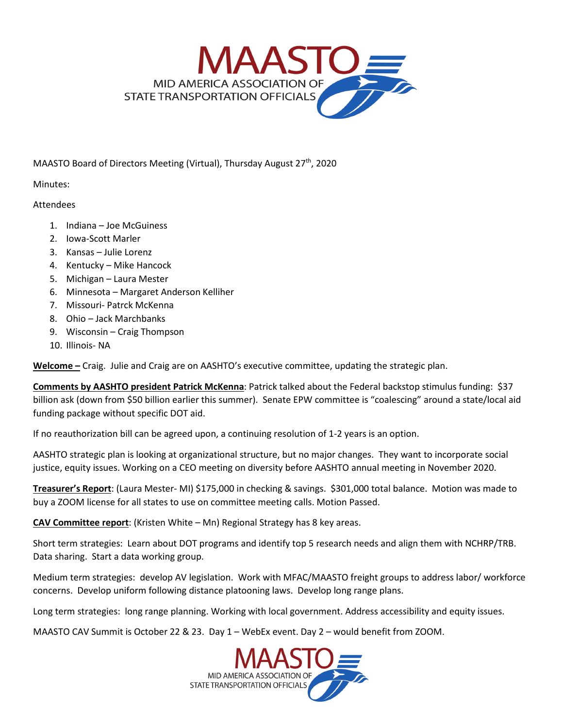

MAASTO Board of Directors Meeting (Virtual), Thursday August 27<sup>th</sup>, 2020

Minutes:

## Attendees

- 1. Indiana Joe McGuiness
- 2. Iowa-Scott Marler
- 3. Kansas Julie Lorenz
- 4. Kentucky Mike Hancock
- 5. Michigan Laura Mester
- 6. Minnesota Margaret Anderson Kelliher
- 7. Missouri- Patrck McKenna
- 8. Ohio Jack Marchbanks
- 9. Wisconsin Craig Thompson
- 10. Illinois- NA

**Welcome –** Craig. Julie and Craig are on AASHTO's executive committee, updating the strategic plan.

**Comments by AASHTO president Patrick McKenna**: Patrick talked about the Federal backstop stimulus funding: \$37 billion ask (down from \$50 billion earlier this summer). Senate EPW committee is "coalescing" around a state/local aid funding package without specific DOT aid.

If no reauthorization bill can be agreed upon, a continuing resolution of 1-2 years is an option.

AASHTO strategic plan is looking at organizational structure, but no major changes. They want to incorporate social justice, equity issues. Working on a CEO meeting on diversity before AASHTO annual meeting in November 2020.

**Treasurer's Report**: (Laura Mester- MI) \$175,000 in checking & savings. \$301,000 total balance. Motion was made to buy a ZOOM license for all states to use on committee meeting calls. Motion Passed.

**CAV Committee report**: (Kristen White – Mn) Regional Strategy has 8 key areas.

Short term strategies: Learn about DOT programs and identify top 5 research needs and align them with NCHRP/TRB. Data sharing. Start a data working group.

Medium term strategies: develop AV legislation. Work with MFAC/MAASTO freight groups to address labor/ workforce concerns. Develop uniform following distance platooning laws. Develop long range plans.

Long term strategies: long range planning. Working with local government. Address accessibility and equity issues.

MAASTO CAV Summit is October 22 & 23. Day 1 – WebEx event. Day 2 – would benefit from ZOOM.